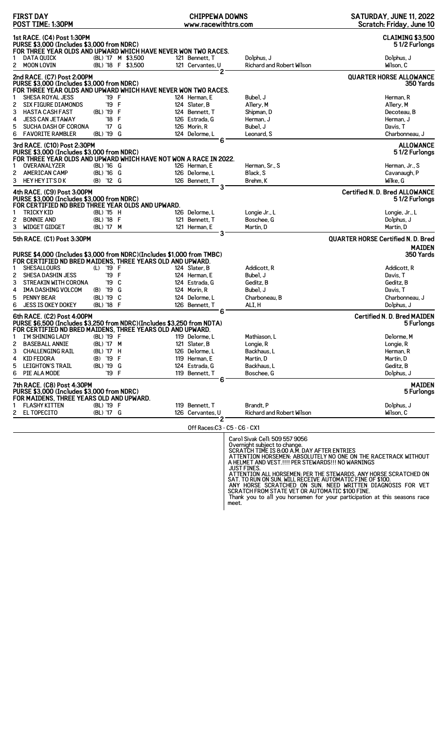| <b>FIRST DAY</b><br>POST TIME: 1:30PM                                                                                                      |                                          | <b>CHIPPEWA DOWNS</b><br>www.racewithtrs.com                                       |                                         | SATURDAY, JUNE 11, 2022<br>Scratch: Friday, June 10    |
|--------------------------------------------------------------------------------------------------------------------------------------------|------------------------------------------|------------------------------------------------------------------------------------|-----------------------------------------|--------------------------------------------------------|
| 1st RACE. (C4) Post 1:30PM<br>PURSE \$3,000 (Includes \$3,000 from NDRC)<br>FOR THREE YEAR OLDS AND UPWARD WHICH HAVE NEVER WON TWO RACES. |                                          |                                                                                    |                                         | <b>CLAIMING \$3,500</b><br>51/2 Furlongs               |
| <b>DATA QUICK</b><br>2 MOON LOVIN                                                                                                          | (BL) '17 M \$3,500<br>(BL) '18 F \$3,500 | 121 Bennett, T<br>121 Cervantes. U                                                 | Dolphus, J<br>Richard and Robert Wilson | Dolphus, J<br>Wilson, C                                |
| 2nd RACE. (C7) Post 2:00PM<br>PURSE \$3,000 (Includes \$3,000 from NDRC)                                                                   |                                          | 2                                                                                  |                                         | <b>QUARTER HORSE ALLOWANCE</b><br>350 Yards            |
| FOR THREE YEAR OLDS AND UPWARD WHICH HAVE NEVER WON TWO RACES.                                                                             |                                          |                                                                                    |                                         |                                                        |
| <b>SHESA ROYAL JESS</b><br><b>SIX FIGURE DIAMONDS</b><br>2                                                                                 | '19 F<br>'19 F                           | 124 Herman, E<br>124 Slater, B                                                     | Bubel, J<br>Allery, M                   | Herman, R<br>Allery, M                                 |
| 3<br><b>HASTA CASH FAST</b>                                                                                                                | (BL) '19 F                               | 124 Bennett, T                                                                     | Shipman, D                              | Decoteau, B                                            |
| 4<br><b>JESS CAN JETAWAY</b>                                                                                                               | '18 F                                    | 126 Estrada, G                                                                     | Herman, J                               | Herman, J                                              |
| 5<br><b>SUCHA DASH OF CORONA</b>                                                                                                           | '17 G                                    | 126 Morin, R                                                                       | Bubel. J                                | Davis, T                                               |
| 6<br><b>FAVORITE RAMBLER</b>                                                                                                               | (BL) '19 G                               | 124 Delorme, L                                                                     | Leonard, S                              | Charbonneau, J                                         |
| 3rd RACE. (C10) Post 2:30PM<br>PURSE \$3,000 (Includes \$3,000 from NDRC)                                                                  |                                          | 6                                                                                  |                                         | <b>ALLOWANCE</b><br>51/2 Furlongs                      |
| <b>OVERANALYZER</b>                                                                                                                        | (BL) '16 G                               | FOR THREE YEAR OLDS AND UPWARD WHICH HAVE NOT WON A RACE IN 2022.<br>126 Herman, E | Herman, Sr., S                          | Herman, Jr., S                                         |
| 2<br><b>AMERICAN CAMP</b>                                                                                                                  | (BL) '16 G                               | 126 Delorme.L                                                                      | Black, S                                | Cavanaugh, P                                           |
| 3<br>HEY HEY IT'S DK                                                                                                                       | (B) '12 G                                | 126 Bennett, T                                                                     | Brehm, K                                | Wilke, G                                               |
| 4th RACE. (C9) Post 3:00PM<br>PURSE \$3,000 (Includes \$3,000 from NDRC)                                                                   |                                          | 3                                                                                  |                                         | <b>Certified N. D. Bred ALLOWANCE</b><br>51/2 Furlongs |
| FOR CERTIFIED ND BRED THREE YEAR OLDS AND UPWARD.<br><b>TRICKY KID</b><br>1                                                                | (BL) '15 H                               | 126 Delorme.L                                                                      | Longie Jr., L                           | Longie, Jr., L                                         |
| <b>BONNIE AND</b><br>2                                                                                                                     | (BL) '18 F                               | 121 Bennett. T                                                                     | Boschee, G                              | Dolphus, J                                             |
| 3<br><b>WIDGET GIDGET</b>                                                                                                                  | (BL) '17 M                               | 121 Herman, E                                                                      | Martin, D                               | Martin, D                                              |
| 5th RACE. (C1) Post 3:30PM                                                                                                                 |                                          | 3                                                                                  |                                         | <b>QUARTER HORSE Certified N. D. Bred</b>              |
| PURSE \$4,000 (Includes \$3,000 from NDRC)(Includes \$1,000 from TMBC)                                                                     |                                          |                                                                                    |                                         | <b>MAIDEN</b><br>350 Yards                             |
| FOR CERTIFIED ND BRED MAIDENS, THREE YEARS OLD AND UPWARD.                                                                                 |                                          |                                                                                    |                                         |                                                        |
| <b>SHESALLOURS</b><br>1                                                                                                                    | (L) '19 F                                | 124 Slater, B                                                                      | Addicott, R                             | Addicott, R                                            |
| 2<br>SHESA DASHIN JESS<br>3<br><b>STREAKIN WITH CORONA</b>                                                                                 | '19 F<br>'19 C                           | 124 Herman, E<br>124 Estrada, G                                                    | Bubel, J<br>Geditz, B                   | Davis, T<br>Geditz, B                                  |
| IMA DASHING VOLCOM<br>4                                                                                                                    | (B) '19 G                                | 124 Morin, R                                                                       | Bubel, J                                | Davis, T                                               |
| 5<br><b>PENNY BEAR</b>                                                                                                                     | (BL) '19 C                               | 124 Delorme, L                                                                     | Charboneau, B                           | Charbonneau, J                                         |
| 6<br><b>JESS IS OKEY DOKEY</b>                                                                                                             | (BL) '18 F                               | 126 Bennett, T                                                                     | ALI.H                                   | Dolphus, J                                             |
| 6th RACE. (C2) Post 4:00PM<br>PURSE \$6,500 (Includes \$3,250 from NDRC)(Includes \$3,250 from NDTA)                                       |                                          | 6                                                                                  |                                         | <b>Certified N. D. Bred MAIDEN</b><br>5 Furlongs       |
| FOR CERTIFIED ND BRED MAIDENS, THREE YEARS OLD AND UPWARD.<br>I'M SHINING LADY                                                             | (BL) '19 F                               |                                                                                    | Mathiason, L                            | Delorme, M                                             |
| <b>BASEBALL ANNIE</b>                                                                                                                      | (BL) '17 M                               | 119 Delorme, L<br>121 Slater, B                                                    |                                         |                                                        |
| 2<br><b>CHALLENGING RAIL</b><br>3                                                                                                          | (BL) '17 H                               | 126 Delorme, L                                                                     | Longie, R<br>Backhaus, L                | Longie, R<br>Herman, R                                 |
| <b>KID FEDORA</b><br>4                                                                                                                     | (B) '19 F                                | 119 Herman, E                                                                      | Martin, D                               | Martin, D                                              |
| <b>LEIGHTON'S TRAIL</b><br>5                                                                                                               | (BL) '19 G                               | 124 Estrada, G                                                                     | Backhaus, L                             | Geditz, B                                              |
| 6<br>PIE ALA MODE                                                                                                                          | '19 F                                    | 119 Bennett, T                                                                     | Boschee, G                              | Dolphus, J                                             |
| 7th RACE. (C8) Post 4:30PM<br>PURSE \$3,000 (Includes \$3,000 from NDRC)<br>FOR MAIDENS, THREE YEARS OLD AND UPWARD.                       |                                          | 6                                                                                  |                                         | <b>MAIDEN</b><br>5 Furlongs                            |
| <b>FLASHY KITTEN</b><br>1                                                                                                                  | (BL) '19 F                               | 119 Bennett, T                                                                     | Brandt, P                               | Dolphus, J                                             |
| EL TOPECITO<br>2                                                                                                                           | (BL) '17 G                               | 126 Cervantes, U                                                                   | Richard and Robert Wilson               | Wilson, C                                              |
|                                                                                                                                            |                                          | 2<br>Off Races:C3 - C5 - C6 - CX1                                                  |                                         |                                                        |
|                                                                                                                                            |                                          |                                                                                    | Carol Sivak Cell: 509 557 9056          |                                                        |

Carol Sivak Cell: 509 557 9056<br>Overnight subject to change.<br>SCRATCH TIME IS 8:00 A.M. DAY AFTER ENTRIES<br>ATTENTION HORSEMEN: ABSOLUTELY NO ONE ON THE RACETRACK WITHOUT<br>A HELMET AND VEST.!!!! PER STEWARDS!!! NO WARNINGS<br>JUST meet.